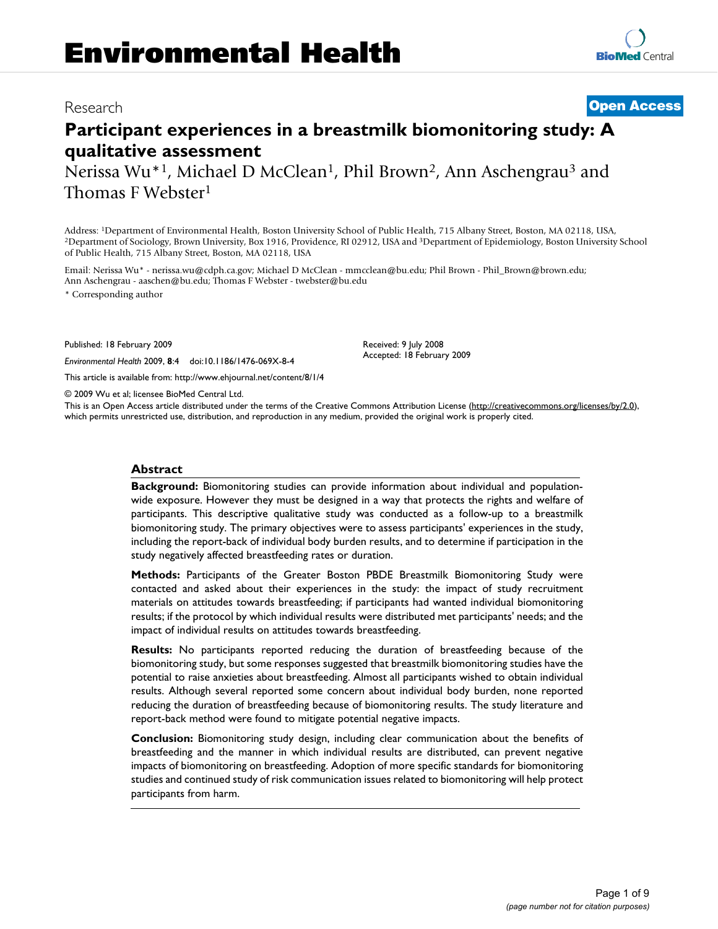# Research **[Open Access](http://www.biomedcentral.com/info/about/charter/)**

# **Participant experiences in a breastmilk biomonitoring study: A qualitative assessment**

Nerissa Wu<sup>\*1</sup>, Michael D McClean<sup>1</sup>, Phil Brown<sup>2</sup>, Ann Aschengrau<sup>3</sup> and Thomas F Webster1

Address: <sup>1</sup>Department of Environmental Health, Boston University School of Public Health, 715 Albany Street, Boston, MA 02118, USA,<br><sup>2</sup>Department of Sociology, Brown University, Box 1916, Providence, RI 02912, USA and <sup>3</sup> of Public Health, 715 Albany Street, Boston, MA 02118, USA

Email: Nerissa Wu\* - nerissa.wu@cdph.ca.gov; Michael D McClean - mmcclean@bu.edu; Phil Brown - Phil\_Brown@brown.edu; Ann Aschengrau - aaschen@bu.edu; Thomas F Webster - twebster@bu.edu

\* Corresponding author

Published: 18 February 2009

*Environmental Health* 2009, **8**:4 doi:10.1186/1476-069X-8-4

[This article is available from: http://www.ehjournal.net/content/8/1/4](http://www.ehjournal.net/content/8/1/4)

© 2009 Wu et al; licensee BioMed Central Ltd.

This is an Open Access article distributed under the terms of the Creative Commons Attribution License [\(http://creativecommons.org/licenses/by/2.0\)](http://creativecommons.org/licenses/by/2.0), which permits unrestricted use, distribution, and reproduction in any medium, provided the original work is properly cited.

Received: 9 July 2008 Accepted: 18 February 2009

#### **Abstract**

**Background:** Biomonitoring studies can provide information about individual and populationwide exposure. However they must be designed in a way that protects the rights and welfare of participants. This descriptive qualitative study was conducted as a follow-up to a breastmilk biomonitoring study. The primary objectives were to assess participants' experiences in the study, including the report-back of individual body burden results, and to determine if participation in the study negatively affected breastfeeding rates or duration.

**Methods:** Participants of the Greater Boston PBDE Breastmilk Biomonitoring Study were contacted and asked about their experiences in the study: the impact of study recruitment materials on attitudes towards breastfeeding; if participants had wanted individual biomonitoring results; if the protocol by which individual results were distributed met participants' needs; and the impact of individual results on attitudes towards breastfeeding.

**Results:** No participants reported reducing the duration of breastfeeding because of the biomonitoring study, but some responses suggested that breastmilk biomonitoring studies have the potential to raise anxieties about breastfeeding. Almost all participants wished to obtain individual results. Although several reported some concern about individual body burden, none reported reducing the duration of breastfeeding because of biomonitoring results. The study literature and report-back method were found to mitigate potential negative impacts.

**Conclusion:** Biomonitoring study design, including clear communication about the benefits of breastfeeding and the manner in which individual results are distributed, can prevent negative impacts of biomonitoring on breastfeeding. Adoption of more specific standards for biomonitoring studies and continued study of risk communication issues related to biomonitoring will help protect participants from harm.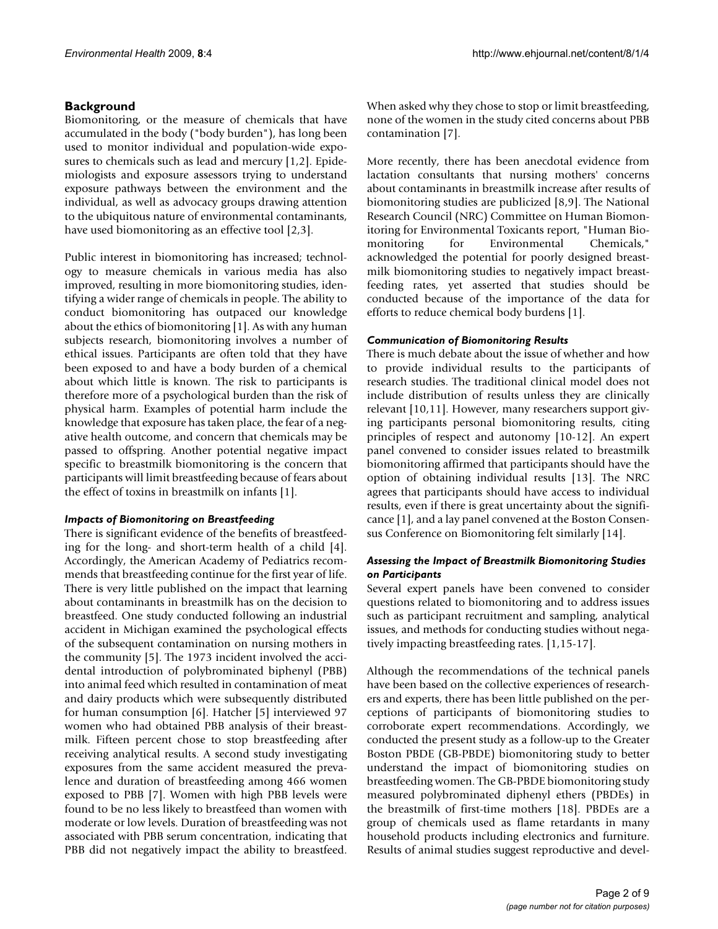## **Background**

Biomonitoring, or the measure of chemicals that have accumulated in the body ("body burden"), has long been used to monitor individual and population-wide exposures to chemicals such as lead and mercury [1,2]. Epidemiologists and exposure assessors trying to understand exposure pathways between the environment and the individual, as well as advocacy groups drawing attention to the ubiquitous nature of environmental contaminants, have used biomonitoring as an effective tool [2,3].

Public interest in biomonitoring has increased; technology to measure chemicals in various media has also improved, resulting in more biomonitoring studies, identifying a wider range of chemicals in people. The ability to conduct biomonitoring has outpaced our knowledge about the ethics of biomonitoring [1]. As with any human subjects research, biomonitoring involves a number of ethical issues. Participants are often told that they have been exposed to and have a body burden of a chemical about which little is known. The risk to participants is therefore more of a psychological burden than the risk of physical harm. Examples of potential harm include the knowledge that exposure has taken place, the fear of a negative health outcome, and concern that chemicals may be passed to offspring. Another potential negative impact specific to breastmilk biomonitoring is the concern that participants will limit breastfeeding because of fears about the effect of toxins in breastmilk on infants [1].

## *Impacts of Biomonitoring on Breastfeeding*

There is significant evidence of the benefits of breastfeeding for the long- and short-term health of a child [4]. Accordingly, the American Academy of Pediatrics recommends that breastfeeding continue for the first year of life. There is very little published on the impact that learning about contaminants in breastmilk has on the decision to breastfeed. One study conducted following an industrial accident in Michigan examined the psychological effects of the subsequent contamination on nursing mothers in the community [5]. The 1973 incident involved the accidental introduction of polybrominated biphenyl (PBB) into animal feed which resulted in contamination of meat and dairy products which were subsequently distributed for human consumption [6]. Hatcher [5] interviewed 97 women who had obtained PBB analysis of their breastmilk. Fifteen percent chose to stop breastfeeding after receiving analytical results. A second study investigating exposures from the same accident measured the prevalence and duration of breastfeeding among 466 women exposed to PBB [7]. Women with high PBB levels were found to be no less likely to breastfeed than women with moderate or low levels. Duration of breastfeeding was not associated with PBB serum concentration, indicating that PBB did not negatively impact the ability to breastfeed.

When asked why they chose to stop or limit breastfeeding, none of the women in the study cited concerns about PBB contamination [7].

More recently, there has been anecdotal evidence from lactation consultants that nursing mothers' concerns about contaminants in breastmilk increase after results of biomonitoring studies are publicized [8,9]. The National Research Council (NRC) Committee on Human Biomonitoring for Environmental Toxicants report, "Human Biomonitoring for Environmental Chemicals," acknowledged the potential for poorly designed breastmilk biomonitoring studies to negatively impact breastfeeding rates, yet asserted that studies should be conducted because of the importance of the data for efforts to reduce chemical body burdens [1].

## *Communication of Biomonitoring Results*

There is much debate about the issue of whether and how to provide individual results to the participants of research studies. The traditional clinical model does not include distribution of results unless they are clinically relevant [10,11]. However, many researchers support giving participants personal biomonitoring results, citing principles of respect and autonomy [10-12]. An expert panel convened to consider issues related to breastmilk biomonitoring affirmed that participants should have the option of obtaining individual results [13]. The NRC agrees that participants should have access to individual results, even if there is great uncertainty about the significance [1], and a lay panel convened at the Boston Consensus Conference on Biomonitoring felt similarly [14].

## *Assessing the Impact of Breastmilk Biomonitoring Studies on Participants*

Several expert panels have been convened to consider questions related to biomonitoring and to address issues such as participant recruitment and sampling, analytical issues, and methods for conducting studies without negatively impacting breastfeeding rates. [1,15-17].

Although the recommendations of the technical panels have been based on the collective experiences of researchers and experts, there has been little published on the perceptions of participants of biomonitoring studies to corroborate expert recommendations. Accordingly, we conducted the present study as a follow-up to the Greater Boston PBDE (GB-PBDE) biomonitoring study to better understand the impact of biomonitoring studies on breastfeeding women. The GB-PBDE biomonitoring study measured polybrominated diphenyl ethers (PBDEs) in the breastmilk of first-time mothers [18]. PBDEs are a group of chemicals used as flame retardants in many household products including electronics and furniture. Results of animal studies suggest reproductive and devel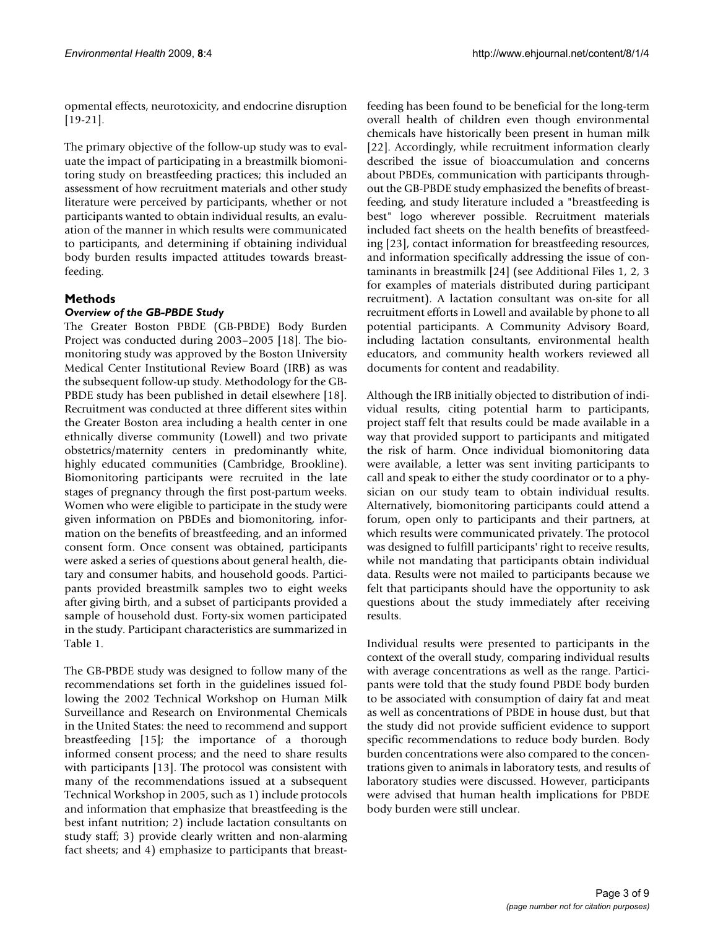opmental effects, neurotoxicity, and endocrine disruption [19-21].

The primary objective of the follow-up study was to evaluate the impact of participating in a breastmilk biomonitoring study on breastfeeding practices; this included an assessment of how recruitment materials and other study literature were perceived by participants, whether or not participants wanted to obtain individual results, an evaluation of the manner in which results were communicated to participants, and determining if obtaining individual body burden results impacted attitudes towards breastfeeding.

# **Methods**

## *Overview of the GB-PBDE Study*

The Greater Boston PBDE (GB-PBDE) Body Burden Project was conducted during 2003–2005 [18]. The biomonitoring study was approved by the Boston University Medical Center Institutional Review Board (IRB) as was the subsequent follow-up study. Methodology for the GB-PBDE study has been published in detail elsewhere [18]. Recruitment was conducted at three different sites within the Greater Boston area including a health center in one ethnically diverse community (Lowell) and two private obstetrics/maternity centers in predominantly white, highly educated communities (Cambridge, Brookline). Biomonitoring participants were recruited in the late stages of pregnancy through the first post-partum weeks. Women who were eligible to participate in the study were given information on PBDEs and biomonitoring, information on the benefits of breastfeeding, and an informed consent form. Once consent was obtained, participants were asked a series of questions about general health, dietary and consumer habits, and household goods. Participants provided breastmilk samples two to eight weeks after giving birth, and a subset of participants provided a sample of household dust. Forty-six women participated in the study. Participant characteristics are summarized in Table 1.

The GB-PBDE study was designed to follow many of the recommendations set forth in the guidelines issued following the 2002 Technical Workshop on Human Milk Surveillance and Research on Environmental Chemicals in the United States: the need to recommend and support breastfeeding [15]; the importance of a thorough informed consent process; and the need to share results with participants [13]. The protocol was consistent with many of the recommendations issued at a subsequent Technical Workshop in 2005, such as 1) include protocols and information that emphasize that breastfeeding is the best infant nutrition; 2) include lactation consultants on study staff; 3) provide clearly written and non-alarming fact sheets; and 4) emphasize to participants that breastfeeding has been found to be beneficial for the long-term overall health of children even though environmental chemicals have historically been present in human milk [22]. Accordingly, while recruitment information clearly described the issue of bioaccumulation and concerns about PBDEs, communication with participants throughout the GB-PBDE study emphasized the benefits of breastfeeding, and study literature included a "breastfeeding is best" logo wherever possible. Recruitment materials included fact sheets on the health benefits of breastfeeding [23], contact information for breastfeeding resources, and information specifically addressing the issue of contaminants in breastmilk [24] (see Additional Files 1, 2, 3 for examples of materials distributed during participant recruitment). A lactation consultant was on-site for all recruitment efforts in Lowell and available by phone to all potential participants. A Community Advisory Board, including lactation consultants, environmental health educators, and community health workers reviewed all documents for content and readability.

Although the IRB initially objected to distribution of individual results, citing potential harm to participants, project staff felt that results could be made available in a way that provided support to participants and mitigated the risk of harm. Once individual biomonitoring data were available, a letter was sent inviting participants to call and speak to either the study coordinator or to a physician on our study team to obtain individual results. Alternatively, biomonitoring participants could attend a forum, open only to participants and their partners, at which results were communicated privately. The protocol was designed to fulfill participants' right to receive results, while not mandating that participants obtain individual data. Results were not mailed to participants because we felt that participants should have the opportunity to ask questions about the study immediately after receiving results.

Individual results were presented to participants in the context of the overall study, comparing individual results with average concentrations as well as the range. Participants were told that the study found PBDE body burden to be associated with consumption of dairy fat and meat as well as concentrations of PBDE in house dust, but that the study did not provide sufficient evidence to support specific recommendations to reduce body burden. Body burden concentrations were also compared to the concentrations given to animals in laboratory tests, and results of laboratory studies were discussed. However, participants were advised that human health implications for PBDE body burden were still unclear.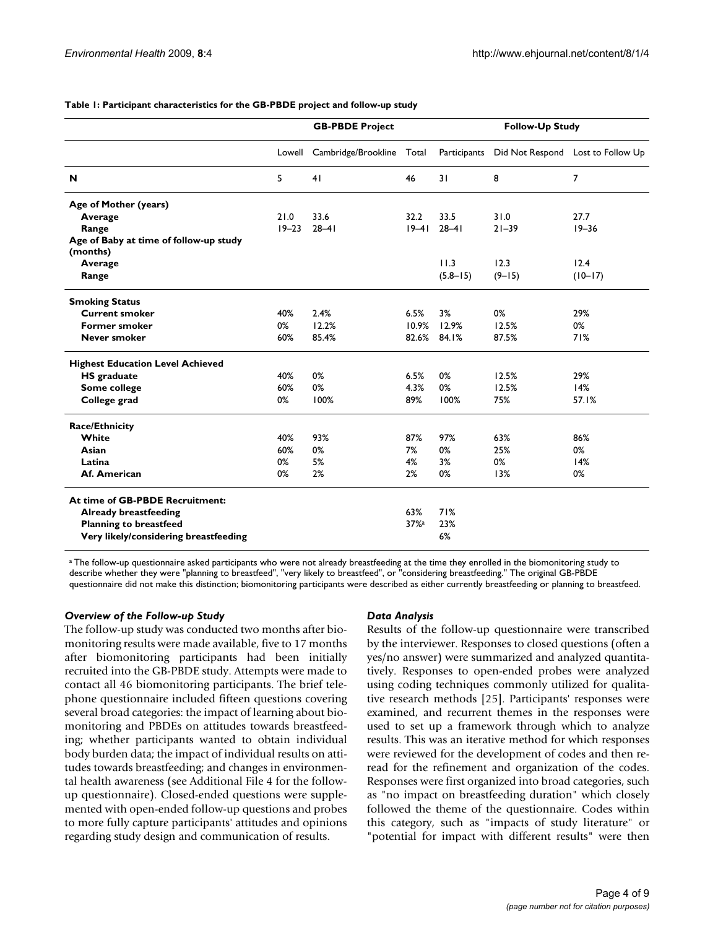|                                                    |           | <b>GB-PBDE Project</b>           |                    |              | <b>Follow-Up Study</b> |                                   |  |
|----------------------------------------------------|-----------|----------------------------------|--------------------|--------------|------------------------|-----------------------------------|--|
|                                                    |           | Lowell Cambridge/Brookline Total |                    | Participants |                        | Did Not Respond Lost to Follow Up |  |
| N                                                  | 5         | 41                               | 46                 | 31           | 8                      | 7                                 |  |
| Age of Mother (years)                              |           |                                  |                    |              |                        |                                   |  |
| Average                                            | 21.0      | 33.6                             | 32.2               | 33.5         | 31.0                   | 27.7                              |  |
| Range                                              | $19 - 23$ | $28 - 41$                        | $19 - 41$          | $28 - 41$    | $21 - 39$              | $19 - 36$                         |  |
| Age of Baby at time of follow-up study<br>(months) |           |                                  |                    |              |                        |                                   |  |
| Average                                            |           |                                  |                    | 11.3         | 12.3                   | 12.4                              |  |
| Range                                              |           |                                  |                    | $(5.8 - 15)$ | $(9-15)$               | $(10-17)$                         |  |
| <b>Smoking Status</b>                              |           |                                  |                    |              |                        |                                   |  |
| <b>Current smoker</b>                              | 40%       | 2.4%                             | 6.5%               | 3%           | 0%                     | 29%                               |  |
| <b>Former smoker</b>                               | 0%        | 12.2%                            | 10.9%              | 12.9%        | 12.5%                  | 0%                                |  |
| Never smoker                                       | 60%       | 85.4%                            | 82.6%              | 84.1%        | 87.5%                  | 71%                               |  |
| <b>Highest Education Level Achieved</b>            |           |                                  |                    |              |                        |                                   |  |
| <b>HS</b> graduate                                 | 40%       | 0%                               | 6.5%               | 0%           | 12.5%                  | 29%                               |  |
| Some college                                       | 60%       | 0%                               | 4.3%               | 0%           | 12.5%                  | 14%                               |  |
| College grad                                       | 0%        | 100%                             | 89%                | 100%         | 75%                    | 57.1%                             |  |
| <b>Race/Ethnicity</b>                              |           |                                  |                    |              |                        |                                   |  |
| White                                              | 40%       | 93%                              | 87%                | 97%          | 63%                    | 86%                               |  |
| Asian                                              | 60%       | 0%                               | 7%                 | 0%           | 25%                    | 0%                                |  |
| Latina                                             | 0%        | 5%                               | 4%                 | 3%           | 0%                     | 14%                               |  |
| Af. American                                       | 0%        | 2%                               | 2%                 | 0%           | 13%                    | 0%                                |  |
| At time of GB-PBDE Recruitment:                    |           |                                  |                    |              |                        |                                   |  |
| <b>Already breastfeeding</b>                       |           |                                  | 63%                | 71%          |                        |                                   |  |
| <b>Planning to breastfeed</b>                      |           |                                  | $37%$ <sup>a</sup> | 23%          |                        |                                   |  |
| Very likely/considering breastfeeding              |           |                                  |                    | 6%           |                        |                                   |  |

#### **Table 1: Participant characteristics for the GB-PBDE project and follow-up study**

a The follow-up questionnaire asked participants who were not already breastfeeding at the time they enrolled in the biomonitoring study to describe whether they were "planning to breastfeed", "very likely to breastfeed", or "considering breastfeeding." The original GB-PBDE questionnaire did not make this distinction; biomonitoring participants were described as either currently breastfeeding or planning to breastfeed.

#### *Overview of the Follow-up Study*

The follow-up study was conducted two months after biomonitoring results were made available, five to 17 months after biomonitoring participants had been initially recruited into the GB-PBDE study. Attempts were made to contact all 46 biomonitoring participants. The brief telephone questionnaire included fifteen questions covering several broad categories: the impact of learning about biomonitoring and PBDEs on attitudes towards breastfeeding; whether participants wanted to obtain individual body burden data; the impact of individual results on attitudes towards breastfeeding; and changes in environmental health awareness (see Additional File 4 for the followup questionnaire). Closed-ended questions were supplemented with open-ended follow-up questions and probes to more fully capture participants' attitudes and opinions regarding study design and communication of results.

#### *Data Analysis*

Results of the follow-up questionnaire were transcribed by the interviewer. Responses to closed questions (often a yes/no answer) were summarized and analyzed quantitatively. Responses to open-ended probes were analyzed using coding techniques commonly utilized for qualitative research methods [25]. Participants' responses were examined, and recurrent themes in the responses were used to set up a framework through which to analyze results. This was an iterative method for which responses were reviewed for the development of codes and then reread for the refinement and organization of the codes. Responses were first organized into broad categories, such as "no impact on breastfeeding duration" which closely followed the theme of the questionnaire. Codes within this category, such as "impacts of study literature" or "potential for impact with different results" were then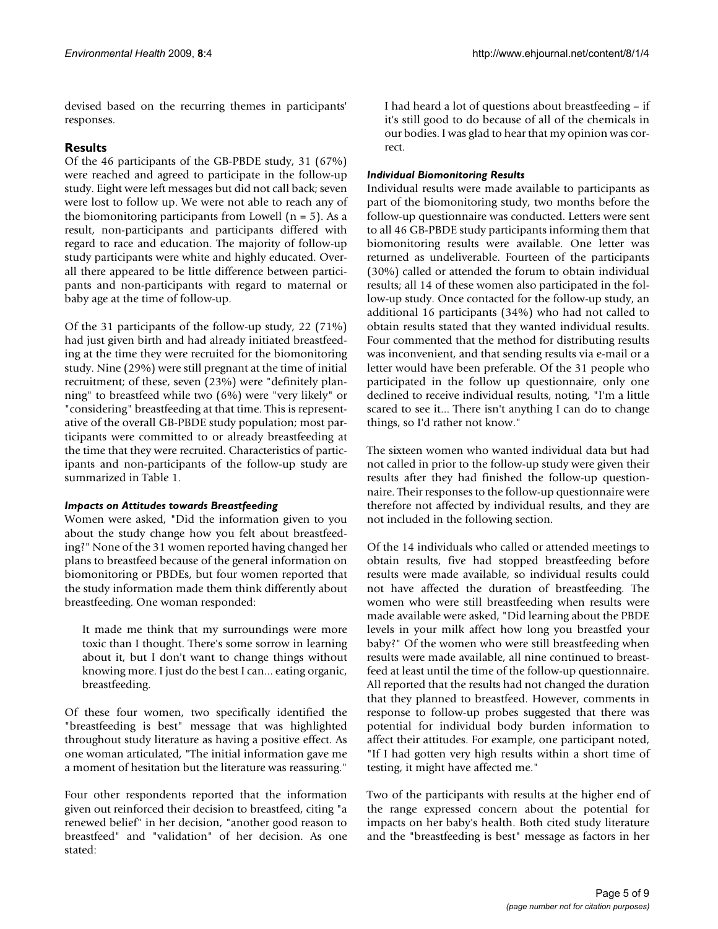devised based on the recurring themes in participants' responses.

# **Results**

Of the 46 participants of the GB-PBDE study, 31 (67%) were reached and agreed to participate in the follow-up study. Eight were left messages but did not call back; seven were lost to follow up. We were not able to reach any of the biomonitoring participants from Lowell  $(n = 5)$ . As a result, non-participants and participants differed with regard to race and education. The majority of follow-up study participants were white and highly educated. Overall there appeared to be little difference between participants and non-participants with regard to maternal or baby age at the time of follow-up.

Of the 31 participants of the follow-up study, 22 (71%) had just given birth and had already initiated breastfeeding at the time they were recruited for the biomonitoring study. Nine (29%) were still pregnant at the time of initial recruitment; of these, seven (23%) were "definitely planning" to breastfeed while two (6%) were "very likely" or "considering" breastfeeding at that time. This is representative of the overall GB-PBDE study population; most participants were committed to or already breastfeeding at the time that they were recruited. Characteristics of participants and non-participants of the follow-up study are summarized in Table 1.

## *Impacts on Attitudes towards Breastfeeding*

Women were asked, "Did the information given to you about the study change how you felt about breastfeeding?" None of the 31 women reported having changed her plans to breastfeed because of the general information on biomonitoring or PBDEs, but four women reported that the study information made them think differently about breastfeeding. One woman responded:

It made me think that my surroundings were more toxic than I thought. There's some sorrow in learning about it, but I don't want to change things without knowing more. I just do the best I can... eating organic, breastfeeding.

Of these four women, two specifically identified the "breastfeeding is best" message that was highlighted throughout study literature as having a positive effect. As one woman articulated, "The initial information gave me a moment of hesitation but the literature was reassuring."

Four other respondents reported that the information given out reinforced their decision to breastfeed, citing "a renewed belief" in her decision, "another good reason to breastfeed" and "validation" of her decision. As one stated:

I had heard a lot of questions about breastfeeding – if it's still good to do because of all of the chemicals in our bodies. I was glad to hear that my opinion was correct.

## *Individual Biomonitoring Results*

Individual results were made available to participants as part of the biomonitoring study, two months before the follow-up questionnaire was conducted. Letters were sent to all 46 GB-PBDE study participants informing them that biomonitoring results were available. One letter was returned as undeliverable. Fourteen of the participants (30%) called or attended the forum to obtain individual results; all 14 of these women also participated in the follow-up study. Once contacted for the follow-up study, an additional 16 participants (34%) who had not called to obtain results stated that they wanted individual results. Four commented that the method for distributing results was inconvenient, and that sending results via e-mail or a letter would have been preferable. Of the 31 people who participated in the follow up questionnaire, only one declined to receive individual results, noting, "I'm a little scared to see it... There isn't anything I can do to change things, so I'd rather not know."

The sixteen women who wanted individual data but had not called in prior to the follow-up study were given their results after they had finished the follow-up questionnaire. Their responses to the follow-up questionnaire were therefore not affected by individual results, and they are not included in the following section.

Of the 14 individuals who called or attended meetings to obtain results, five had stopped breastfeeding before results were made available, so individual results could not have affected the duration of breastfeeding. The women who were still breastfeeding when results were made available were asked, "Did learning about the PBDE levels in your milk affect how long you breastfed your baby?" Of the women who were still breastfeeding when results were made available, all nine continued to breastfeed at least until the time of the follow-up questionnaire. All reported that the results had not changed the duration that they planned to breastfeed. However, comments in response to follow-up probes suggested that there was potential for individual body burden information to affect their attitudes. For example, one participant noted, "If I had gotten very high results within a short time of testing, it might have affected me."

Two of the participants with results at the higher end of the range expressed concern about the potential for impacts on her baby's health. Both cited study literature and the "breastfeeding is best" message as factors in her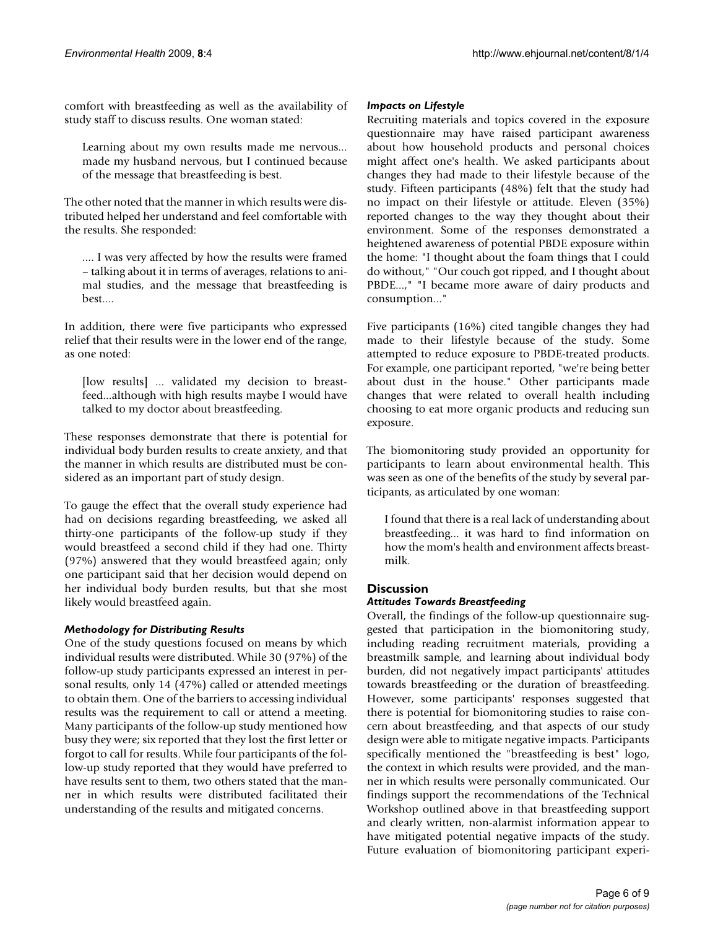comfort with breastfeeding as well as the availability of study staff to discuss results. One woman stated:

Learning about my own results made me nervous... made my husband nervous, but I continued because of the message that breastfeeding is best.

The other noted that the manner in which results were distributed helped her understand and feel comfortable with the results. She responded:

.... I was very affected by how the results were framed – talking about it in terms of averages, relations to animal studies, and the message that breastfeeding is best....

In addition, there were five participants who expressed relief that their results were in the lower end of the range, as one noted:

[low results] ... validated my decision to breastfeed...although with high results maybe I would have talked to my doctor about breastfeeding.

These responses demonstrate that there is potential for individual body burden results to create anxiety, and that the manner in which results are distributed must be considered as an important part of study design.

To gauge the effect that the overall study experience had had on decisions regarding breastfeeding, we asked all thirty-one participants of the follow-up study if they would breastfeed a second child if they had one. Thirty (97%) answered that they would breastfeed again; only one participant said that her decision would depend on her individual body burden results, but that she most likely would breastfeed again.

## *Methodology for Distributing Results*

One of the study questions focused on means by which individual results were distributed. While 30 (97%) of the follow-up study participants expressed an interest in personal results, only 14 (47%) called or attended meetings to obtain them. One of the barriers to accessing individual results was the requirement to call or attend a meeting. Many participants of the follow-up study mentioned how busy they were; six reported that they lost the first letter or forgot to call for results. While four participants of the follow-up study reported that they would have preferred to have results sent to them, two others stated that the manner in which results were distributed facilitated their understanding of the results and mitigated concerns.

#### *Impacts on Lifestyle*

Recruiting materials and topics covered in the exposure questionnaire may have raised participant awareness about how household products and personal choices might affect one's health. We asked participants about changes they had made to their lifestyle because of the study. Fifteen participants (48%) felt that the study had no impact on their lifestyle or attitude. Eleven (35%) reported changes to the way they thought about their environment. Some of the responses demonstrated a heightened awareness of potential PBDE exposure within the home: "I thought about the foam things that I could do without," "Our couch got ripped, and I thought about PBDE...," "I became more aware of dairy products and consumption..."

Five participants (16%) cited tangible changes they had made to their lifestyle because of the study. Some attempted to reduce exposure to PBDE-treated products. For example, one participant reported, "we're being better about dust in the house." Other participants made changes that were related to overall health including choosing to eat more organic products and reducing sun exposure.

The biomonitoring study provided an opportunity for participants to learn about environmental health. This was seen as one of the benefits of the study by several participants, as articulated by one woman:

I found that there is a real lack of understanding about breastfeeding... it was hard to find information on how the mom's health and environment affects breastmilk.

## **Discussion**

## *Attitudes Towards Breastfeeding*

Overall, the findings of the follow-up questionnaire suggested that participation in the biomonitoring study, including reading recruitment materials, providing a breastmilk sample, and learning about individual body burden, did not negatively impact participants' attitudes towards breastfeeding or the duration of breastfeeding. However, some participants' responses suggested that there is potential for biomonitoring studies to raise concern about breastfeeding, and that aspects of our study design were able to mitigate negative impacts. Participants specifically mentioned the "breastfeeding is best" logo, the context in which results were provided, and the manner in which results were personally communicated. Our findings support the recommendations of the Technical Workshop outlined above in that breastfeeding support and clearly written, non-alarmist information appear to have mitigated potential negative impacts of the study. Future evaluation of biomonitoring participant experi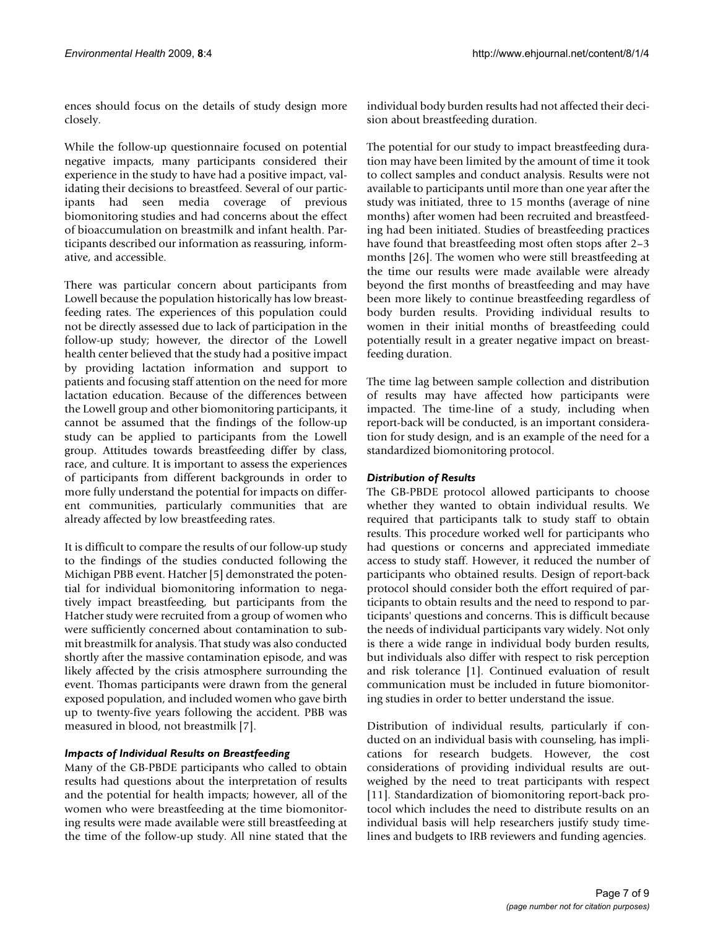ences should focus on the details of study design more closely.

While the follow-up questionnaire focused on potential negative impacts, many participants considered their experience in the study to have had a positive impact, validating their decisions to breastfeed. Several of our participants had seen media coverage of previous biomonitoring studies and had concerns about the effect of bioaccumulation on breastmilk and infant health. Participants described our information as reassuring, informative, and accessible.

There was particular concern about participants from Lowell because the population historically has low breastfeeding rates. The experiences of this population could not be directly assessed due to lack of participation in the follow-up study; however, the director of the Lowell health center believed that the study had a positive impact by providing lactation information and support to patients and focusing staff attention on the need for more lactation education. Because of the differences between the Lowell group and other biomonitoring participants, it cannot be assumed that the findings of the follow-up study can be applied to participants from the Lowell group. Attitudes towards breastfeeding differ by class, race, and culture. It is important to assess the experiences of participants from different backgrounds in order to more fully understand the potential for impacts on different communities, particularly communities that are already affected by low breastfeeding rates.

It is difficult to compare the results of our follow-up study to the findings of the studies conducted following the Michigan PBB event. Hatcher [5] demonstrated the potential for individual biomonitoring information to negatively impact breastfeeding, but participants from the Hatcher study were recruited from a group of women who were sufficiently concerned about contamination to submit breastmilk for analysis. That study was also conducted shortly after the massive contamination episode, and was likely affected by the crisis atmosphere surrounding the event. Thomas participants were drawn from the general exposed population, and included women who gave birth up to twenty-five years following the accident. PBB was measured in blood, not breastmilk [7].

## *Impacts of Individual Results on Breastfeeding*

Many of the GB-PBDE participants who called to obtain results had questions about the interpretation of results and the potential for health impacts; however, all of the women who were breastfeeding at the time biomonitoring results were made available were still breastfeeding at the time of the follow-up study. All nine stated that the individual body burden results had not affected their decision about breastfeeding duration.

The potential for our study to impact breastfeeding duration may have been limited by the amount of time it took to collect samples and conduct analysis. Results were not available to participants until more than one year after the study was initiated, three to 15 months (average of nine months) after women had been recruited and breastfeeding had been initiated. Studies of breastfeeding practices have found that breastfeeding most often stops after 2–3 months [26]. The women who were still breastfeeding at the time our results were made available were already beyond the first months of breastfeeding and may have been more likely to continue breastfeeding regardless of body burden results. Providing individual results to women in their initial months of breastfeeding could potentially result in a greater negative impact on breastfeeding duration.

The time lag between sample collection and distribution of results may have affected how participants were impacted. The time-line of a study, including when report-back will be conducted, is an important consideration for study design, and is an example of the need for a standardized biomonitoring protocol.

## *Distribution of Results*

The GB-PBDE protocol allowed participants to choose whether they wanted to obtain individual results. We required that participants talk to study staff to obtain results. This procedure worked well for participants who had questions or concerns and appreciated immediate access to study staff. However, it reduced the number of participants who obtained results. Design of report-back protocol should consider both the effort required of participants to obtain results and the need to respond to participants' questions and concerns. This is difficult because the needs of individual participants vary widely. Not only is there a wide range in individual body burden results, but individuals also differ with respect to risk perception and risk tolerance [1]. Continued evaluation of result communication must be included in future biomonitoring studies in order to better understand the issue.

Distribution of individual results, particularly if conducted on an individual basis with counseling, has implications for research budgets. However, the cost considerations of providing individual results are outweighed by the need to treat participants with respect [11]. Standardization of biomonitoring report-back protocol which includes the need to distribute results on an individual basis will help researchers justify study timelines and budgets to IRB reviewers and funding agencies.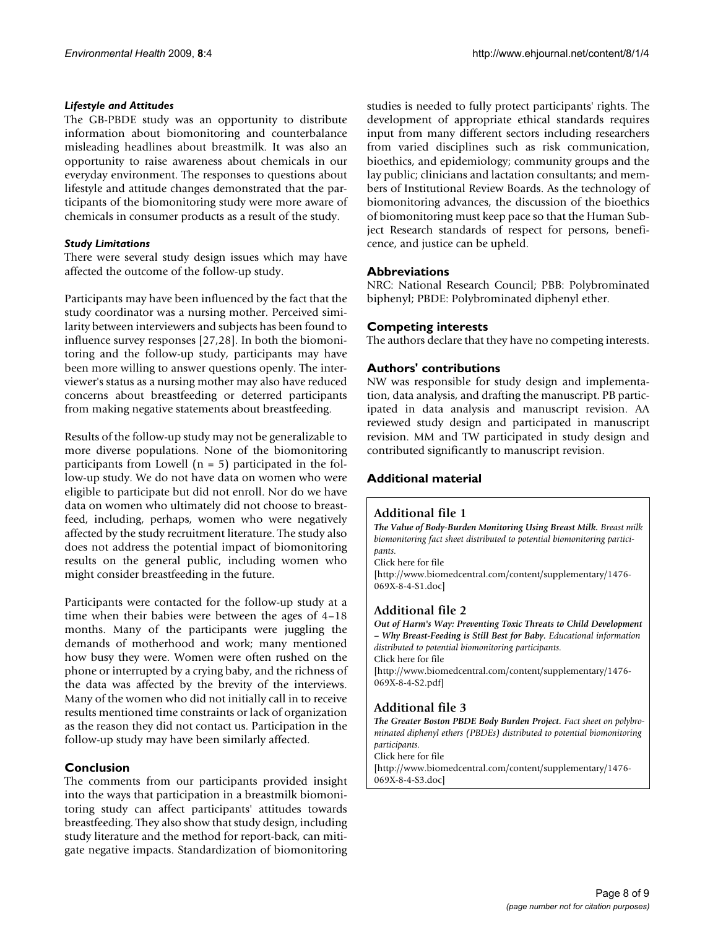#### *Lifestyle and Attitudes*

The GB-PBDE study was an opportunity to distribute information about biomonitoring and counterbalance misleading headlines about breastmilk. It was also an opportunity to raise awareness about chemicals in our everyday environment. The responses to questions about lifestyle and attitude changes demonstrated that the participants of the biomonitoring study were more aware of chemicals in consumer products as a result of the study.

#### *Study Limitations*

There were several study design issues which may have affected the outcome of the follow-up study.

Participants may have been influenced by the fact that the study coordinator was a nursing mother. Perceived similarity between interviewers and subjects has been found to influence survey responses [27,28]. In both the biomonitoring and the follow-up study, participants may have been more willing to answer questions openly. The interviewer's status as a nursing mother may also have reduced concerns about breastfeeding or deterred participants from making negative statements about breastfeeding.

Results of the follow-up study may not be generalizable to more diverse populations. None of the biomonitoring participants from Lowell  $(n = 5)$  participated in the follow-up study. We do not have data on women who were eligible to participate but did not enroll. Nor do we have data on women who ultimately did not choose to breastfeed, including, perhaps, women who were negatively affected by the study recruitment literature. The study also does not address the potential impact of biomonitoring results on the general public, including women who might consider breastfeeding in the future.

Participants were contacted for the follow-up study at a time when their babies were between the ages of 4–18 months. Many of the participants were juggling the demands of motherhood and work; many mentioned how busy they were. Women were often rushed on the phone or interrupted by a crying baby, and the richness of the data was affected by the brevity of the interviews. Many of the women who did not initially call in to receive results mentioned time constraints or lack of organization as the reason they did not contact us. Participation in the follow-up study may have been similarly affected.

## **Conclusion**

The comments from our participants provided insight into the ways that participation in a breastmilk biomonitoring study can affect participants' attitudes towards breastfeeding. They also show that study design, including study literature and the method for report-back, can mitigate negative impacts. Standardization of biomonitoring studies is needed to fully protect participants' rights. The development of appropriate ethical standards requires input from many different sectors including researchers from varied disciplines such as risk communication, bioethics, and epidemiology; community groups and the lay public; clinicians and lactation consultants; and members of Institutional Review Boards. As the technology of biomonitoring advances, the discussion of the bioethics of biomonitoring must keep pace so that the Human Subject Research standards of respect for persons, beneficence, and justice can be upheld.

## **Abbreviations**

NRC: National Research Council; PBB: Polybrominated biphenyl; PBDE: Polybrominated diphenyl ether.

## **Competing interests**

The authors declare that they have no competing interests.

## **Authors' contributions**

NW was responsible for study design and implementation, data analysis, and drafting the manuscript. PB participated in data analysis and manuscript revision. AA reviewed study design and participated in manuscript revision. MM and TW participated in study design and contributed significantly to manuscript revision.

## **Additional material**

## **Additional file 1**

*The Value of Body-Burden Monitoring Using Breast Milk. Breast milk biomonitoring fact sheet distributed to potential biomonitoring participants.* Click here for file [\[http://www.biomedcentral.com/content/supplementary/1476-](http://www.biomedcentral.com/content/supplementary/1476-069X-8-4-S1.doc)

# **Additional file 2**

069X-8-4-S1.doc]

*Out of Harm's Way: Preventing Toxic Threats to Child Development – Why Breast-Feeding is Still Best for Baby. Educational information distributed to potential biomonitoring participants.* Click here for file [\[http://www.biomedcentral.com/content/supplementary/1476-](http://www.biomedcentral.com/content/supplementary/1476-069X-8-4-S2.pdf) 069X-8-4-S2.pdf]

# **Additional file 3**

*The Greater Boston PBDE Body Burden Project. Fact sheet on polybrominated diphenyl ethers (PBDEs) distributed to potential biomonitoring participants.* Click here for file [\[http://www.biomedcentral.com/content/supplementary/1476-](http://www.biomedcentral.com/content/supplementary/1476-069X-8-4-S3.doc) 069X-8-4-S3.doc]